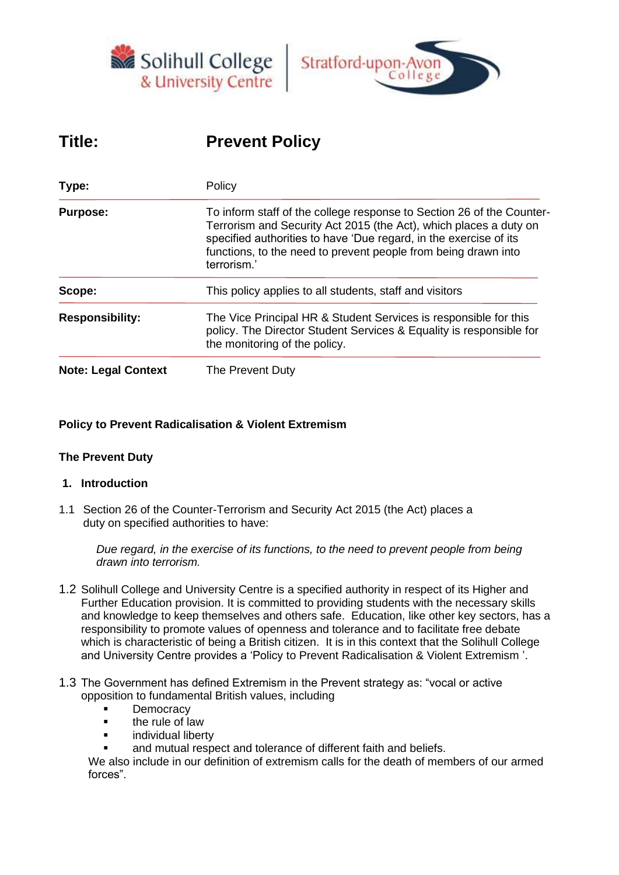



# **Title: Prevent Policy**

| Type:                      | Policy<br>To inform staff of the college response to Section 26 of the Counter-<br>Terrorism and Security Act 2015 (the Act), which places a duty on<br>specified authorities to have 'Due regard, in the exercise of its<br>functions, to the need to prevent people from being drawn into<br>terrorism.' |  |  |
|----------------------------|------------------------------------------------------------------------------------------------------------------------------------------------------------------------------------------------------------------------------------------------------------------------------------------------------------|--|--|
| <b>Purpose:</b>            |                                                                                                                                                                                                                                                                                                            |  |  |
| Scope:                     | This policy applies to all students, staff and visitors                                                                                                                                                                                                                                                    |  |  |
| <b>Responsibility:</b>     | The Vice Principal HR & Student Services is responsible for this<br>policy. The Director Student Services & Equality is responsible for<br>the monitoring of the policy.                                                                                                                                   |  |  |
| <b>Note: Legal Context</b> | The Prevent Duty                                                                                                                                                                                                                                                                                           |  |  |

## **Policy to Prevent Radicalisation & Violent Extremism**

## **The Prevent Duty**

## **1. Introduction**

1.1 Section 26 of the Counter-Terrorism and Security Act 2015 (the Act) places a duty on specified authorities to have:

*Due regard, in the exercise of its functions, to the need to prevent people from being drawn into terrorism.*

- 1.2 Solihull College and University Centre is a specified authority in respect of its Higher and Further Education provision. It is committed to providing students with the necessary skills and knowledge to keep themselves and others safe. Education, like other key sectors, has a responsibility to promote values of openness and tolerance and to facilitate free debate which is characteristic of being a British citizen. It is in this context that the Solihull College and University Centre provides a 'Policy to Prevent Radicalisation & Violent Extremism '.
- 1.3 The Government has defined Extremism in the Prevent strategy as: "vocal or active opposition to fundamental British values, including
	- **Democracy**
	- the rule of law
	- individual liberty
	- and mutual respect and tolerance of different faith and beliefs.

We also include in our definition of extremism calls for the death of members of our armed forces".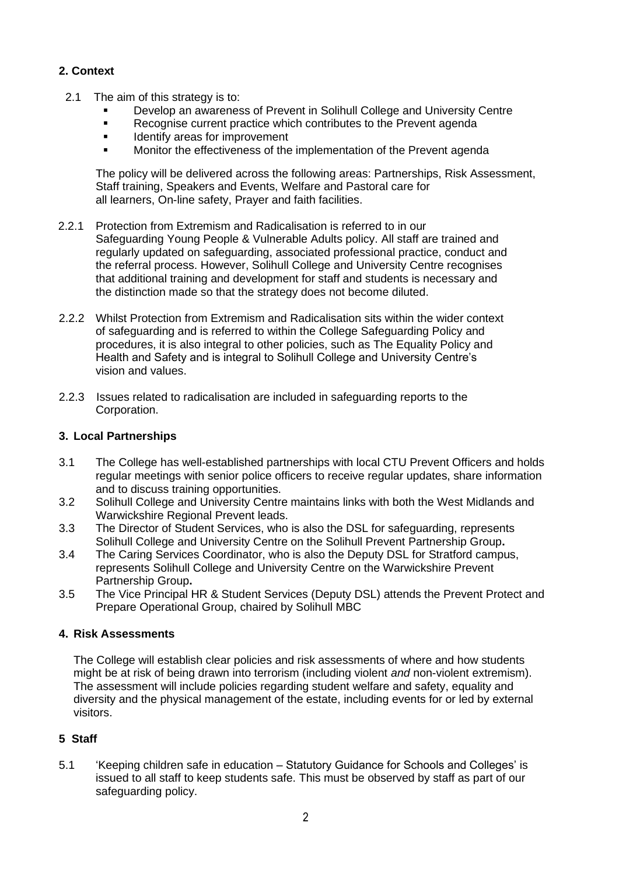## **2. Context**

- 2.1 The aim of this strategy is to:
	- Develop an awareness of Prevent in Solihull College and University Centre
	- Recognise current practice which contributes to the Prevent agenda
	- Identify areas for improvement
	- Monitor the effectiveness of the implementation of the Prevent agenda

The policy will be delivered across the following areas: Partnerships, Risk Assessment, Staff training, Speakers and Events, Welfare and Pastoral care for all learners, On-line safety, Prayer and faith facilities.

- 2.2.1 Protection from Extremism and Radicalisation is referred to in our Safeguarding Young People & Vulnerable Adults policy. All staff are trained and regularly updated on safeguarding, associated professional practice, conduct and the referral process. However, Solihull College and University Centre recognises that additional training and development for staff and students is necessary and the distinction made so that the strategy does not become diluted.
- 2.2.2 Whilst Protection from Extremism and Radicalisation sits within the wider context of safeguarding and is referred to within the College Safeguarding Policy and procedures, it is also integral to other policies, such as The Equality Policy and Health and Safety and is integral to Solihull College and University Centre's vision and values.
- 2.2.3 Issues related to radicalisation are included in safeguarding reports to the Corporation.

## **3. Local Partnerships**

- 3.1 The College has well-established partnerships with local CTU Prevent Officers and holds regular meetings with senior police officers to receive regular updates, share information and to discuss training opportunities.
- 3.2 Solihull College and University Centre maintains links with both the West Midlands and Warwickshire Regional Prevent leads.
- 3.3 The Director of Student Services, who is also the DSL for safeguarding, represents Solihull College and University Centre on the Solihull Prevent Partnership Group**.**
- 3.4 The Caring Services Coordinator, who is also the Deputy DSL for Stratford campus, represents Solihull College and University Centre on the Warwickshire Prevent Partnership Group**.**
- 3.5 The Vice Principal HR & Student Services (Deputy DSL) attends the Prevent Protect and Prepare Operational Group, chaired by Solihull MBC

## **4. Risk Assessments**

The College will establish clear policies and risk assessments of where and how students might be at risk of being drawn into terrorism (including violent *and* non-violent extremism). The assessment will include policies regarding student welfare and safety, equality and diversity and the physical management of the estate, including events for or led by external visitors.

## **5 Staff**

5.1 'Keeping children safe in education – Statutory Guidance for Schools and Colleges' is issued to all staff to keep students safe. This must be observed by staff as part of our safeguarding policy.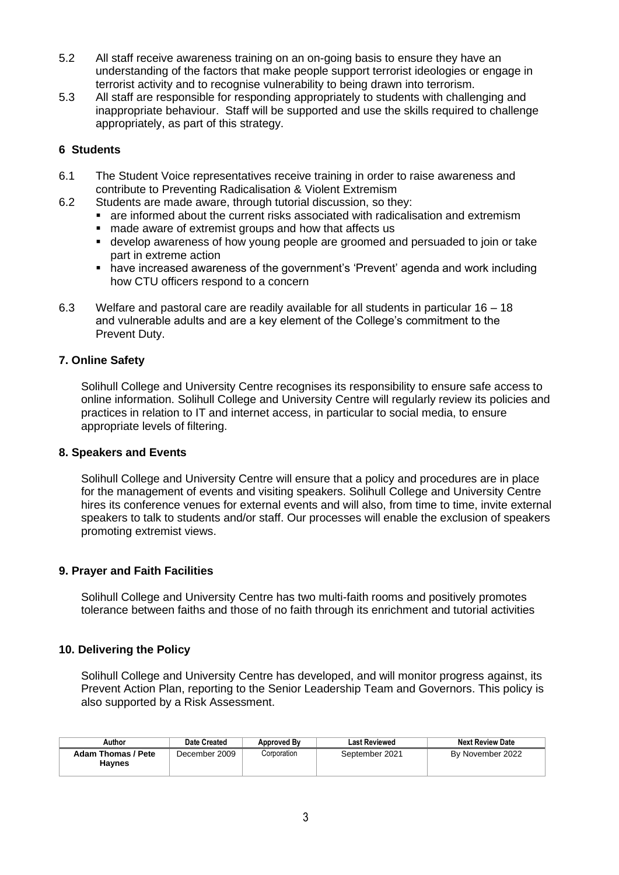- 5.2 All staff receive awareness training on an on-going basis to ensure they have an understanding of the factors that make people support terrorist ideologies or engage in terrorist activity and to recognise vulnerability to being drawn into terrorism.
- 5.3 All staff are responsible for responding appropriately to students with challenging and inappropriate behaviour. Staff will be supported and use the skills required to challenge appropriately, as part of this strategy.

## **6 Students**

- 6.1 The Student Voice representatives receive training in order to raise awareness and contribute to Preventing Radicalisation & Violent Extremism
- 6.2 Students are made aware, through tutorial discussion, so they:
	- are informed about the current risks associated with radicalisation and extremism
	- made aware of extremist groups and how that affects us
	- develop awareness of how young people are groomed and persuaded to join or take part in extreme action
	- have increased awareness of the government's 'Prevent' agenda and work including how CTU officers respond to a concern
- 6.3 Welfare and pastoral care are readily available for all students in particular 16 18 and vulnerable adults and are a key element of the College's commitment to the Prevent Duty.

## **7. Online Safety**

Solihull College and University Centre recognises its responsibility to ensure safe access to online information. Solihull College and University Centre will regularly review its policies and practices in relation to IT and internet access, in particular to social media, to ensure appropriate levels of filtering.

## **8. Speakers and Events**

Solihull College and University Centre will ensure that a policy and procedures are in place for the management of events and visiting speakers. Solihull College and University Centre hires its conference venues for external events and will also, from time to time, invite external speakers to talk to students and/or staff. Our processes will enable the exclusion of speakers promoting extremist views.

## **9. Prayer and Faith Facilities**

Solihull College and University Centre has two multi-faith rooms and positively promotes tolerance between faiths and those of no faith through its enrichment and tutorial activities

## **10. Delivering the Policy**

Solihull College and University Centre has developed, and will monitor progress against, its Prevent Action Plan, reporting to the Senior Leadership Team and Governors. This policy is also supported by a Risk Assessment.

| Author                       | Date Created  | Approved By | <b>Last Reviewed</b> | <b>Next Review Date</b> |
|------------------------------|---------------|-------------|----------------------|-------------------------|
| Adam Thomas / Pete<br>Havnes | December 2009 | Corporation | September 2021       | By November 2022        |